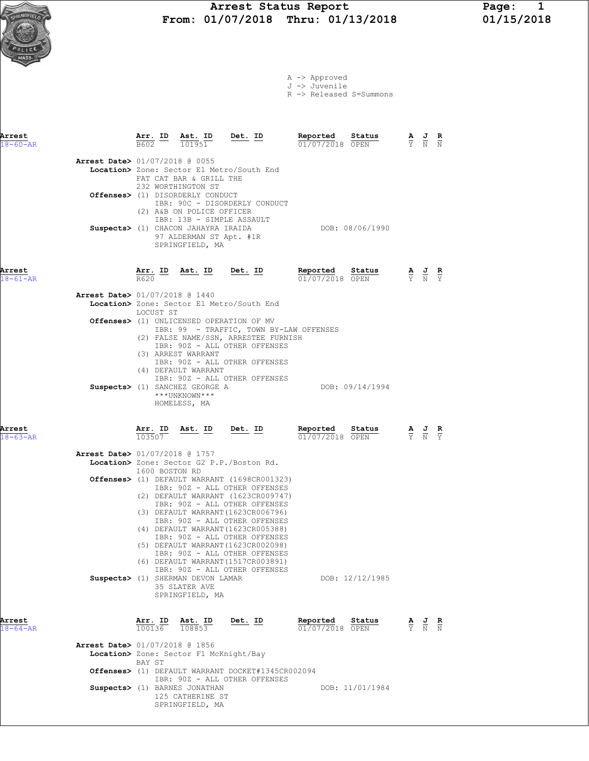|  | A -> Approved |  |  |
|--|---------------|--|--|
|  | J -> Juvenile |  |  |
|  |               |  |  |

R -> Released S=Summons

| Arrest                   |                                          | <u>Arr. ID</u>    | Ast. ID                                                                                                        | Det. ID                                                                                                                                                                                              | Reported                      | Status          | A<br>$\overline{Y}$ | $\frac{J}{N}$                                                                                         | $\frac{\mathbf{R}}{N}$ |
|--------------------------|------------------------------------------|-------------------|----------------------------------------------------------------------------------------------------------------|------------------------------------------------------------------------------------------------------------------------------------------------------------------------------------------------------|-------------------------------|-----------------|---------------------|-------------------------------------------------------------------------------------------------------|------------------------|
| $18 - 60 - AR$           |                                          | B602              | 101951                                                                                                         |                                                                                                                                                                                                      | 01/07/2018 OPEN               |                 |                     |                                                                                                       |                        |
|                          | Arrest Date> 01/07/2018 @ 0055           |                   |                                                                                                                | Location> Zone: Sector E1 Metro/South End                                                                                                                                                            |                               |                 |                     |                                                                                                       |                        |
|                          |                                          |                   | FAT CAT BAR & GRILL THE<br>232 WORTHINGTON ST<br>Offenses> (1) DISORDERLY CONDUCT                              | IBR: 90C - DISORDERLY CONDUCT                                                                                                                                                                        |                               |                 |                     |                                                                                                       |                        |
|                          |                                          |                   | (2) A&B ON POLICE OFFICER<br>Suspects> (1) CHACON JAHAYRA IRAIDA<br>97 ALDERMAN ST Apt. #1R<br>SPRINGFIELD, MA | IBR: 13B - SIMPLE ASSAULT                                                                                                                                                                            | DOB: 08/06/1990               |                 |                     |                                                                                                       |                        |
| Arrest<br>$18 - 61 - AR$ |                                          | Arr. ID<br>R620   | Ast. ID Det. ID                                                                                                |                                                                                                                                                                                                      | Reported<br>$01/07/2018$ OPEN | Status          |                     | $\frac{\mathbf{A}}{\overline{Y}}$ $\frac{\mathbf{J}}{\overline{N}}$ $\frac{\mathbf{R}}{\overline{Y}}$ |                        |
|                          | <b>Arrest Date&gt;</b> 01/07/2018 @ 1440 |                   |                                                                                                                | Location> Zone: Sector E1 Metro/South End                                                                                                                                                            |                               |                 |                     |                                                                                                       |                        |
|                          |                                          | LOCUST ST         |                                                                                                                | <b>Offenses&gt;</b> (1) UNLICENSED OPERATION OF MV<br>IBR: 99 - TRAFFIC, TOWN BY-LAW OFFENSES                                                                                                        |                               |                 |                     |                                                                                                       |                        |
|                          |                                          |                   | (3) ARREST WARRANT<br>(4) DEFAULT WARRANT<br>Suspects> (1) SANCHEZ GEORGE A<br>***UNKNOWN***<br>HOMELESS, MA   | (2) FALSE NAME/SSN, ARRESTEE FURNISH<br>IBR: 90Z - ALL OTHER OFFENSES<br>IBR: 90Z - ALL OTHER OFFENSES<br>IBR: 90Z - ALL OTHER OFFENSES                                                              |                               | DOB: 09/14/1994 |                     |                                                                                                       |                        |
| Arrest<br>$18 - 63 - AR$ |                                          | Arr. ID<br>103507 | <u>Ast. ID</u>                                                                                                 | Det. ID                                                                                                                                                                                              | Reported<br>$01/07/2018$ OPEN | Status          |                     | $\frac{\mathbf{A}}{\overline{Y}}$ $\frac{\mathbf{J}}{\overline{N}}$ $\frac{\mathbf{R}}{\overline{Y}}$ |                        |
|                          | Arrest Date> 01/07/2018 @ 1757           | 1600 BOSTON RD    |                                                                                                                | Location> Zone: Sector G2 P.P./Boston Rd.                                                                                                                                                            |                               |                 |                     |                                                                                                       |                        |
|                          |                                          |                   |                                                                                                                | <b>Offenses&gt;</b> (1) DEFAULT WARRANT (1698CR001323)<br>IBR: 90Z - ALL OTHER OFFENSES<br>(2) DEFAULT WARRANT (1623CR009747)<br>IBR: 90Z - ALL OTHER OFFENSES<br>(3) DEFAULT WARRANT (1623CR006796) |                               |                 |                     |                                                                                                       |                        |
|                          |                                          |                   |                                                                                                                | IBR: 90Z - ALL OTHER OFFENSES<br>(4) DEFAULT WARRANT (1623CR005388)<br>IBR: 90Z - ALL OTHER OFFENSES<br>(5) DEFAULT WARRANT (1623CR002098)<br>IBR: 90Z - ALL OTHER OFFENSES                          |                               |                 |                     |                                                                                                       |                        |
|                          |                                          |                   | Suspects> (1) SHERMAN DEVON LAMAR<br>35 SLATER AVE<br>SPRINGFIELD, MA                                          | (6) DEFAULT WARRANT (1517CR003891)<br>IBR: 90Z - ALL OTHER OFFENSES                                                                                                                                  |                               | DOB: 12/12/1985 |                     |                                                                                                       |                        |
| Arrest<br>$18 - 64 - AR$ |                                          | Arr. ID<br>100136 | Ast. ID<br>108853                                                                                              | <u>Det. ID</u>                                                                                                                                                                                       | Reported<br>01/07/2018 OPEN   | Status          |                     | $\frac{\mathbf{A}}{\mathbf{Y}}$ $\frac{\mathbf{J}}{\mathbf{N}}$ $\frac{\mathbf{K}}{\mathbf{N}}$       |                        |
|                          | Arrest Date> 01/07/2018 @ 1856           | BAY ST            | Location> Zone: Sector F1 McKnight/Bay                                                                         |                                                                                                                                                                                                      |                               |                 |                     |                                                                                                       |                        |
|                          |                                          |                   |                                                                                                                | Offenses> (1) DEFAULT WARRANT DOCKET#1345CR002094<br>IBR: 90Z - ALL OTHER OFFENSES                                                                                                                   |                               |                 |                     |                                                                                                       |                        |
|                          |                                          |                   | Suspects> (1) BARNES JONATHAN<br>125 CATHERINE ST<br>SPRINGFIELD, MA                                           |                                                                                                                                                                                                      |                               | DOB: 11/01/1984 |                     |                                                                                                       |                        |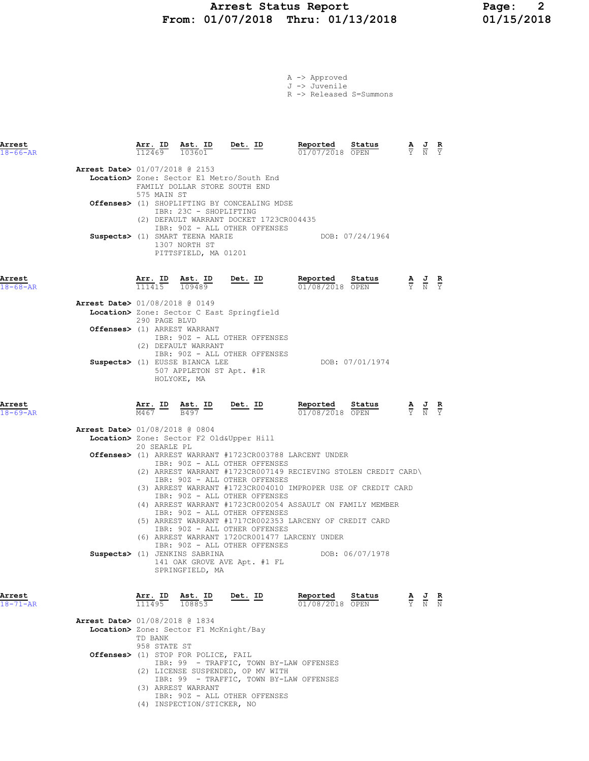## Arrest Status Report 1994 Page: 2<br>1/07/2018 Thru: 01/13/2018 01/15/2018 From: 01/07/2018 Thru: 01/13/2018

|  | A -> Approved |                         |
|--|---------------|-------------------------|
|  | J -> Juvenile |                         |
|  |               | R -> Released S=Summons |

| Arrest<br>$18 - 66 - AR$ |                                          | Arr. ID<br>112469 | Ast. ID<br>103601 | <u>Det. ID</u>                                                             | Reported<br>01/07/2018 OPEN | Status | $\frac{\mathbf{A}}{\mathbf{Y}}$ $\frac{\mathbf{J}}{\mathbf{N}}$ $\frac{\mathbf{R}}{\mathbf{Y}}$ |  |
|--------------------------|------------------------------------------|-------------------|-------------------|----------------------------------------------------------------------------|-----------------------------|--------|-------------------------------------------------------------------------------------------------|--|
|                          | <b>Arrest Date&gt; 01/07/2018 @ 2153</b> | 575 MAIN ST       |                   | Location> Zone: Sector E1 Metro/South End<br>FAMILY DOLLAR STORE SOUTH END |                             |        |                                                                                                 |  |

|  | 575 MAIN ST<br>Offenses> (1) SHOPLIFTING BY CONCEALING MDSE<br>IBR: 23C - SHOPLIFTING                                                                |                 |
|--|------------------------------------------------------------------------------------------------------------------------------------------------------|-----------------|
|  | (2) DEFAULT WARRANT DOCKET 1723CR004435<br>IBR: 90Z - ALL OTHER OFFENSES<br>Suspects> (1) SMART TEENA MARIE<br>1307 NORTH ST<br>PITTSFIELD, MA 01201 | DOB: 07/24/1964 |

| Arrest         | Arr. ID                        | Ast. ID | Det. ID | Reported        | Status | <b>The Contract of the Contract of the Contract of the Contract of the Contract of the Contract of the Contract o</b> | AJR<br>- |  |
|----------------|--------------------------------|---------|---------|-----------------|--------|-----------------------------------------------------------------------------------------------------------------------|----------|--|
| $18 - 68 - AR$ | 111415                         | 109489  |         | 01/08/2018 OPEN |        |                                                                                                                       | Y N Y    |  |
|                | Arrest Date> 01/08/2018 @ 0149 |         |         |                 |        |                                                                                                                       |          |  |

|  | Location> Zone: Sector C East Springfield |                 |
|--|-------------------------------------------|-----------------|
|  | 290 PAGE BLVD                             |                 |
|  | <b>Offenses&gt;</b> (1) ARREST WARRANT    |                 |
|  | IBR: 90Z - ALL OTHER OFFENSES             |                 |
|  | (2) DEFAULT WARRANT                       |                 |
|  | IBR: 90Z - ALL OTHER OFFENSES             |                 |
|  | Suspects> (1) EUSSE BIANCA LEE            | DOB: 07/01/1974 |
|  | 507 APPLETON ST Apt. #1R                  |                 |
|  | HOLYOKE, MA                               |                 |
|  |                                           |                 |

Arrest Arr. ID Ast. ID Det. ID Reported Status A J R

| $\sim$<br>. . |  |
|---------------|--|
|               |  |
|               |  |
|               |  |
|               |  |

| 18-69-AR       |                                          | M467 |              | B497                          |                                                          | 01/08/2018 OPEN                |                                                                | Y N Y                                                                               |  |
|----------------|------------------------------------------|------|--------------|-------------------------------|----------------------------------------------------------|--------------------------------|----------------------------------------------------------------|-------------------------------------------------------------------------------------|--|
|                | <b>Arrest Date&gt; 01/08/2018 @ 0804</b> |      |              |                               |                                                          |                                |                                                                |                                                                                     |  |
|                |                                          |      |              |                               | Location> Zone: Sector F2 Old&Upper Hill                 |                                |                                                                |                                                                                     |  |
|                |                                          |      | 20 SEARLE PL |                               |                                                          |                                |                                                                |                                                                                     |  |
|                |                                          |      |              |                               | Offenses> (1) ARREST WARRANT #1723CR003788 LARCENT UNDER |                                |                                                                |                                                                                     |  |
|                |                                          |      |              |                               | IBR: 90Z - ALL OTHER OFFENSES                            |                                |                                                                |                                                                                     |  |
|                |                                          |      |              |                               |                                                          |                                | (2) ARREST WARRANT #1723CR007149 RECIEVING STOLEN CREDIT CARD\ |                                                                                     |  |
|                |                                          |      |              |                               | IBR: 90Z - ALL OTHER OFFENSES                            |                                |                                                                |                                                                                     |  |
|                |                                          |      |              |                               |                                                          |                                | (3) ARREST WARRANT #1723CR004010 IMPROPER USE OF CREDIT CARD   |                                                                                     |  |
|                |                                          |      |              |                               | IBR: 90Z - ALL OTHER OFFENSES                            |                                |                                                                |                                                                                     |  |
|                |                                          | (4)  |              |                               |                                                          |                                | ARREST WARRANT #1723CR002054 ASSAULT ON FAMILY MEMBER          |                                                                                     |  |
|                |                                          |      |              |                               | IBR: 90Z - ALL OTHER OFFENSES                            |                                |                                                                |                                                                                     |  |
|                |                                          |      |              |                               | (5) ARREST WARRANT #1717CR002353 LARCENY OF CREDIT CARD  |                                |                                                                |                                                                                     |  |
|                |                                          |      |              |                               | IBR: 90Z - ALL OTHER OFFENSES                            |                                |                                                                |                                                                                     |  |
|                |                                          |      |              |                               | (6) ARREST WARRANT 1720CR001477 LARCENY UNDER            |                                |                                                                |                                                                                     |  |
|                |                                          |      |              |                               | IBR: 90Z - ALL OTHER OFFENSES                            |                                |                                                                |                                                                                     |  |
|                |                                          |      |              | Suspects> (1) JENKINS SABRINA |                                                          |                                | DOB: 06/07/1978                                                |                                                                                     |  |
|                |                                          |      |              |                               | 141 OAK GROVE AVE Apt. #1 FL                             |                                |                                                                |                                                                                     |  |
|                |                                          |      |              | SPRINGFIELD, MA               |                                                          |                                |                                                                |                                                                                     |  |
|                |                                          |      |              |                               |                                                          |                                |                                                                |                                                                                     |  |
|                |                                          |      |              |                               |                                                          |                                |                                                                |                                                                                     |  |
| Arrest         |                                          |      | Arr. ID      | Ast. ID                       | Det. ID                                                  | Reported                       | Status                                                         | $\frac{\mathbf{A}}{\nabla}$ $\frac{\mathbf{J}}{\nabla}$ $\frac{\mathbf{R}}{\nabla}$ |  |
| $18 - 71 - nD$ |                                          |      | 111495       | $108853$                      |                                                          | $01/08/2018$ $\overline{OPTN}$ |                                                                |                                                                                     |  |

| Arrest<br>$18 - 71 - AR$ |                                               | 111495                  | ALL. ID ASL. ID<br>108853                                   | Dec. ID | Reported.<br>01/08/2018 OPEN | <b>Status</b> | Y. | $\mathbf{A}$ $\mathbf{C}$<br>N | к.<br>$\mathbb N$ |
|--------------------------|-----------------------------------------------|-------------------------|-------------------------------------------------------------|---------|------------------------------|---------------|----|--------------------------------|-------------------|
|                          | Arrest Date> 01/08/2018 @ 1834                |                         |                                                             |         |                              |               |    |                                |                   |
|                          | Location> Zone: Sector F1 McKnight/Bay        |                         |                                                             |         |                              |               |    |                                |                   |
|                          |                                               | TD BANK<br>958 STATE ST |                                                             |         |                              |               |    |                                |                   |
|                          | <b>Offenses&gt;</b> (1) STOP FOR POLICE, FAIL |                         |                                                             |         |                              |               |    |                                |                   |
|                          |                                               |                         | IBR: 99 - TRAFFIC, TOWN BY-LAW OFFENSES                     |         |                              |               |    |                                |                   |
|                          |                                               |                         | (2) LICENSE SUSPENDED, OP MV WITH                           |         |                              |               |    |                                |                   |
|                          |                                               |                         | IBR: 99 - TRAFFIC, TOWN BY-LAW OFFENSES                     |         |                              |               |    |                                |                   |
|                          | (3).                                          |                         | ARREST WARRANT                                              |         |                              |               |    |                                |                   |
|                          |                                               |                         | IBR: 90Z - ALL OTHER OFFENSES<br>(4) INSPECTION/STICKER, NO |         |                              |               |    |                                |                   |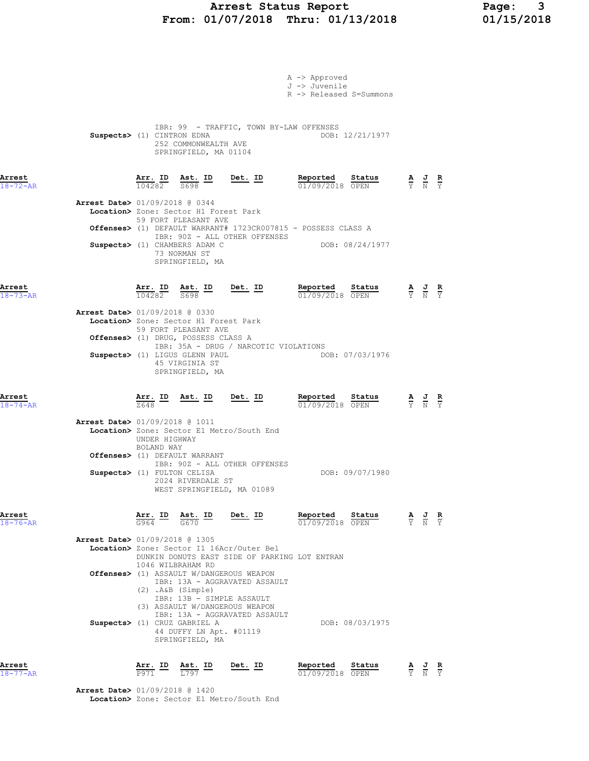## Arrest Status Report Page: 3 From: 01/07/2018 Thru: 01/13/2018 01/15/2018

| R -> Released S=Summons<br>IBR: 99 - TRAFFIC, TOWN BY-LAW OFFENSES<br>DOB: 12/21/1977<br>Suspects> (1) CINTRON EDNA<br>252 COMMONWEALTH AVE<br>SPRINGFIELD, MA 01104<br>$\frac{\texttt{Arr.}}{104282}$ $\frac{\texttt{ Ast.}}{5698}$ $\frac{\texttt{ID}}{2}$ $\frac{\texttt{Det.}}{2}$ $\frac{\texttt{ID}}{2}$<br>Reported Status<br>$\frac{\mathbf{A}}{\mathbf{Y}}$ $\frac{\mathbf{J}}{\mathbf{N}}$ $\frac{\mathbf{R}}{\mathbf{Y}}$<br>01/09/2018 OPEN<br>Arrest Date> 01/09/2018 @ 0344<br>Location> Zone: Sector H1 Forest Park<br>59 FORT PLEASANT AVE<br><b>Offenses&gt;</b> (1) DEFAULT WARRANT# 1723CR007815 - POSSESS CLASS A<br>IBR: 90Z - ALL OTHER OFFENSES<br>DOB: 08/24/1977<br>Suspects> (1) CHAMBERS ADAM C<br>73 NORMAN ST<br>SPRINGFIELD, MA<br>$Det. ID$<br>Reported<br>Status<br>$\frac{\texttt{Arr.}}{104282}$ $\frac{\texttt{ID}}{5698}$ $\frac{\texttt{Int.}}{5698}$<br>$\frac{\mathbf{A}}{\mathbf{Y}}$ $\frac{\mathbf{J}}{\mathbf{N}}$ $\frac{\mathbf{R}}{\mathbf{Y}}$<br>01/09/2018 OPEN<br><b>Arrest Date&gt; 01/09/2018 @ 0330</b><br>Location> Zone: Sector H1 Forest Park<br>59 FORT PLEASANT AVE<br>Offenses> (1) DRUG, POSSESS CLASS A<br>IBR: 35A - DRUG / NARCOTIC VIOLATIONS<br>DOB: 07/03/1976<br>Suspects> (1) LIGUS GLENN PAUL<br>45 VIRGINIA ST<br>SPRINGFIELD, MA<br>Reported Status<br>$\frac{\text{Arr. ID}}{7649}$ $\frac{\text{Ast. ID}}{9649}$ $\frac{\text{Det. ID}}{9649}$<br>$\frac{\mathbf{A}}{\mathbf{Y}}$ $\frac{\mathbf{J}}{\mathbf{N}}$ $\frac{\mathbf{R}}{\mathbf{Y}}$<br>7648<br>01/09/2018 OPEN<br><b>Arrest Date&gt;</b> 01/09/2018 @ 1011<br>Location> Zone: Sector E1 Metro/South End<br>UNDER HIGHWAY<br>BOLAND WAY<br>Offenses> (1) DEFAULT WARRANT<br>IBR: 90Z - ALL OTHER OFFENSES<br>DOB: 09/07/1980<br>Suspects> (1) FULTON CELISA<br>2024 RIVERDALE ST<br>WEST SPRINGFIELD, MA 01089<br>Arr. ID<br>Det. ID<br>Reported<br>Status<br>Arrest<br>Ast. ID<br>$\frac{J}{N}$<br>$\frac{R}{Y}$<br>$rac{\mathbf{A}}{\mathbf{Y}}$<br>G670<br>$18 - 76 - AR$<br>G964<br>01/09/2018 OPEN |
|-----------------------------------------------------------------------------------------------------------------------------------------------------------------------------------------------------------------------------------------------------------------------------------------------------------------------------------------------------------------------------------------------------------------------------------------------------------------------------------------------------------------------------------------------------------------------------------------------------------------------------------------------------------------------------------------------------------------------------------------------------------------------------------------------------------------------------------------------------------------------------------------------------------------------------------------------------------------------------------------------------------------------------------------------------------------------------------------------------------------------------------------------------------------------------------------------------------------------------------------------------------------------------------------------------------------------------------------------------------------------------------------------------------------------------------------------------------------------------------------------------------------------------------------------------------------------------------------------------------------------------------------------------------------------------------------------------------------------------------------------------------------------------------------------------------------------------------------------------------------------------------------------------------------------------------------------------------------------------------------------------------------------------------------------|
| $18 - 73 - AR$<br>Arrest<br>$18 - 74 - AR$                                                                                                                                                                                                                                                                                                                                                                                                                                                                                                                                                                                                                                                                                                                                                                                                                                                                                                                                                                                                                                                                                                                                                                                                                                                                                                                                                                                                                                                                                                                                                                                                                                                                                                                                                                                                                                                                                                                                                                                                    |
| Arrest<br>$18 - 72 - AR$<br>Arrest                                                                                                                                                                                                                                                                                                                                                                                                                                                                                                                                                                                                                                                                                                                                                                                                                                                                                                                                                                                                                                                                                                                                                                                                                                                                                                                                                                                                                                                                                                                                                                                                                                                                                                                                                                                                                                                                                                                                                                                                            |
| J -> Juvenile                                                                                                                                                                                                                                                                                                                                                                                                                                                                                                                                                                                                                                                                                                                                                                                                                                                                                                                                                                                                                                                                                                                                                                                                                                                                                                                                                                                                                                                                                                                                                                                                                                                                                                                                                                                                                                                                                                                                                                                                                                 |

Arrest Date> 01/09/2018 @ 1420 Location> Zone: Sector E1 Metro/South End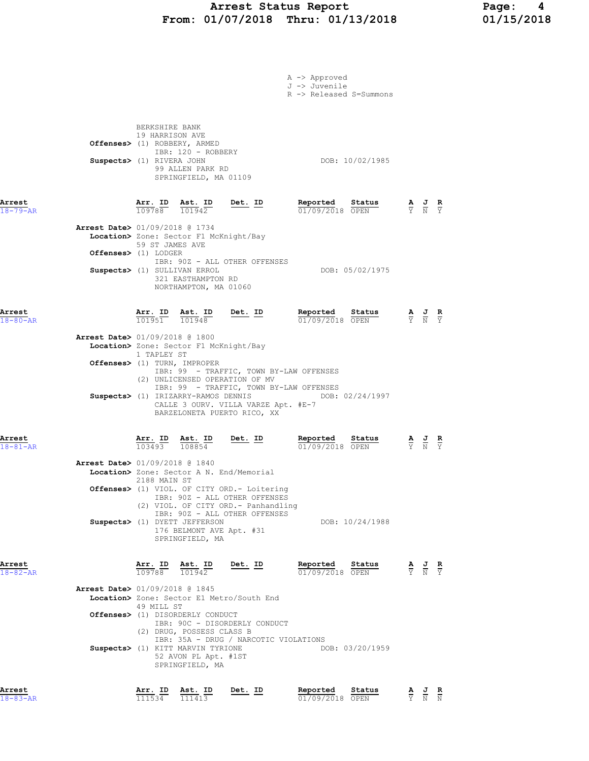## Arrest Status Report Page: 4 From: 01/07/2018 Thru: 01/13/2018 01/15/2018

|                          |                                                                                                                                                                                                                                                                           |                | A -> Approved<br>J -> Juvenile<br>R -> Released S=Summons |                                                                                                 |  |
|--------------------------|---------------------------------------------------------------------------------------------------------------------------------------------------------------------------------------------------------------------------------------------------------------------------|----------------|-----------------------------------------------------------|-------------------------------------------------------------------------------------------------|--|
|                          | BERKSHIRE BANK<br>19 HARRISON AVE<br>Offenses> (1) ROBBERY, ARMED<br>IBR: 120 - ROBBERY<br>Suspects> (1) RIVERA JOHN<br>99 ALLEN PARK RD<br>SPRINGFIELD, MA 01109                                                                                                         |                | DOB: 10/02/1985                                           |                                                                                                 |  |
| Arrest<br>$18 - 79 - AR$ | $\frac{\text{Arr.}}{109788}$ $\frac{\text{dst.}}{101942}$                                                                                                                                                                                                                 | $Det. ID$      | Reported<br>Status<br>01/09/2018 OPEN                     | $\frac{\mathbf{A}}{\mathbf{Y}}$ $\frac{\mathbf{J}}{\mathbf{N}}$ $\frac{\mathbf{R}}{\mathbf{Y}}$ |  |
| Offenses> (1) LODGER     | Arrest Date> 01/09/2018 @ 1734<br>Location> Zone: Sector F1 McKnight/Bay<br>59 ST JAMES AVE<br>IBR: 90Z - ALL OTHER OFFENSES<br>Suspects> (1) SULLIVAN ERROL                                                                                                              |                | DOB: 05/02/1975                                           |                                                                                                 |  |
|                          | 321 EASTHAMPTON RD<br>NORTHAMPTON, MA 01060                                                                                                                                                                                                                               |                |                                                           |                                                                                                 |  |
| Arrest<br>$18 - 80 - AR$ | $\frac{\text{Arr. ID}}{\text{per. ID}}$ $\frac{\text{Ast. ID}}{\text{per. ID}}$ $\frac{\text{Det. ID}}{\text{per. ID}}$<br>101951 101948                                                                                                                                  |                | Reported<br>Status<br>01/09/2018 OPEN                     | $\frac{\mathbf{A}}{\mathbf{Y}}$ $\frac{\mathbf{J}}{\mathbf{N}}$ $\frac{\mathbf{R}}{\mathbf{Y}}$ |  |
|                          | <b>Arrest Date&gt; 01/09/2018 @ 1800</b><br>Location> Zone: Sector F1 McKnight/Bay<br>1 TAPLEY ST<br>Offenses> (1) TURN, IMPROPER<br>IBR: 99 - TRAFFIC, TOWN BY-LAW OFFENSES                                                                                              |                |                                                           |                                                                                                 |  |
|                          | (2) UNLICENSED OPERATION OF MV<br>IBR: 99 - TRAFFIC, TOWN BY-LAW OFFENSES<br>CALLE 3 OURV. VILLA VARZE Apt. #E-7<br>BARZELONETA PUERTO RICO, XX                                                                                                                           |                | Suspects> (1) IRIZARRY-RAMOS DENNIS DOB: 02/24/1997       |                                                                                                 |  |
| Arrest<br>$18 - 81 - AR$ | Arr. ID Ast. ID Det. ID<br>$\overline{103493}$ $\overline{108854}$                                                                                                                                                                                                        |                | Reported Status<br>$01/09/2018$ OPEN                      | $\frac{\mathbf{A}}{\mathbf{Y}}$ $\frac{\mathbf{J}}{\mathbf{N}}$ $\frac{\mathbf{R}}{\mathbf{Y}}$ |  |
|                          | <b>Arrest Date&gt; 01/09/2018 @ 1840</b><br>Location> Zone: Sector A N. End/Memorial<br>2188 MAIN ST<br>Offenses> (1) VIOL. OF CITY ORD. - Loitering<br>IBR: 90Z - ALL OTHER OFFENSES<br>(2) VIOL. OF CITY ORD. - Panhandling                                             |                |                                                           |                                                                                                 |  |
|                          | IBR: 90Z - ALL OTHER OFFENSES<br>Suspects> (1) DYETT JEFFERSON<br>176 BELMONT AVE Apt. #31<br>SPRINGFIELD, MA                                                                                                                                                             |                | DOB: 10/24/1988                                           |                                                                                                 |  |
| Arrest<br>$18 - 82 - AR$ | $\frac{\texttt{Arr.}}{\texttt{mod}}$ $\frac{\texttt{Asu.}}{\texttt{101942}}$<br>Ast. ID                                                                                                                                                                                   | <u>Det. ID</u> | Reported<br>Status<br>01/09/2018 OPEN                     | $\frac{\mathbf{A}}{\mathbf{Y}}$ $\frac{\mathbf{J}}{\mathbf{N}}$ $\frac{\mathbf{R}}{\mathbf{Y}}$ |  |
|                          | Arrest Date> 01/09/2018 @ 1845<br>Location> Zone: Sector E1 Metro/South End<br>49 MILL ST<br>Offenses> (1) DISORDERLY CONDUCT<br>IBR: 90C - DISORDERLY CONDUCT<br>(2) DRUG, POSSESS CLASS B<br>IBR: 35A - DRUG / NARCOTIC VIOLATIONS<br>Suspects> (1) KITT MARVIN TYRIONE |                | DOB: 03/20/1959                                           |                                                                                                 |  |
| Arrest                   | 52 AVON PL Apt. #1ST<br>SPRINGFIELD, MA<br>Arr. ID Ast. ID                                                                                                                                                                                                                | Det. ID        | Reported<br>Status                                        | <u>AJR</u>                                                                                      |  |

18-83-AR 111534 111413 01/09/2018 OPEN Y N N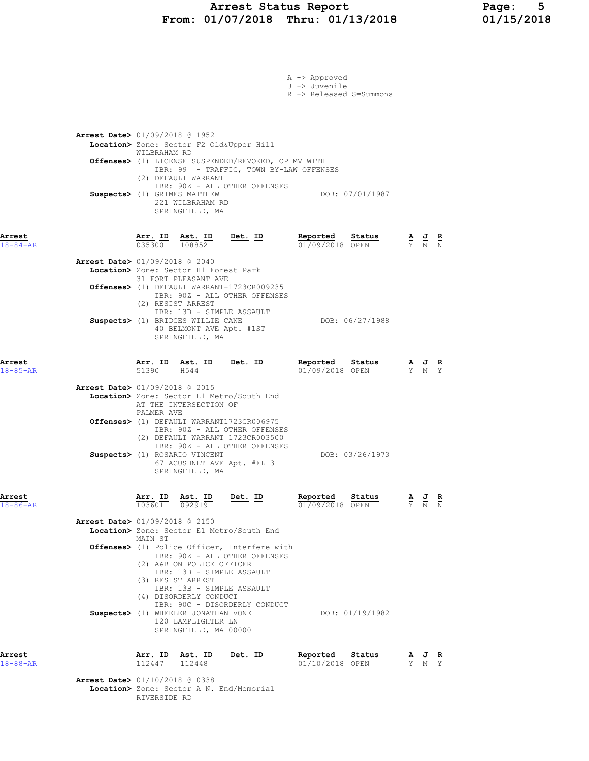## Arrest Status Report Page: 5 From: 01/07/2018 Thru: 01/13/2018 01/15/2018

|                          |                                                                                                                                                                                                                                                                                     |                                                                          | A -> Approved<br>J -> Juvenile<br>R -> Released S=Summons |                                                                                                 |
|--------------------------|-------------------------------------------------------------------------------------------------------------------------------------------------------------------------------------------------------------------------------------------------------------------------------------|--------------------------------------------------------------------------|-----------------------------------------------------------|-------------------------------------------------------------------------------------------------|
|                          | <b>Arrest Date&gt;</b> 01/09/2018 @ 1952<br>Location> Zone: Sector F2 Old&Upper Hill<br>WILBRAHAM RD<br>Offenses> (1) LICENSE SUSPENDED/REVOKED, OP MV WITH<br>(2) DEFAULT WARRANT<br>Suspects> (1) GRIMES MATTHEW<br>221 WILBRAHAM RD<br>SPRINGFIELD, MA                           | IBR: 99 - TRAFFIC, TOWN BY-LAW OFFENSES<br>IBR: 90Z - ALL OTHER OFFENSES | DOB: 07/01/1987                                           |                                                                                                 |
| Arrest<br>$18 - 84 - AR$ | <u>Arr. ID</u><br><u>Ast.</u> ID<br>035300<br>108852                                                                                                                                                                                                                                | <u>Det. ID</u>                                                           | Reported<br>Status<br>01/09/2018 OPEN                     | $\frac{\mathbf{A}}{\mathbf{Y}}$ $\frac{\mathbf{J}}{\mathbf{N}}$ $\frac{\mathbf{R}}{\mathbf{N}}$ |
|                          | Arrest Date> 01/09/2018 @ 2040<br>Location> Zone: Sector H1 Forest Park<br>31 FORT PLEASANT AVE<br>Offenses> (1) DEFAULT WARRANT-1723CR009235<br>(2) RESIST ARREST<br>IBR: 13B - SIMPLE ASSAULT<br>Suspects> (1) BRIDGES WILLIE CANE<br>40 BELMONT AVE Apt. #1ST<br>SPRINGFIELD, MA | IBR: 90Z - ALL OTHER OFFENSES                                            | DOB: 06/27/1988                                           |                                                                                                 |
| Arrest<br>$18 - 85 - AR$ | Arr. ID<br>Ast. ID<br>51390 H544                                                                                                                                                                                                                                                    | Det. ID                                                                  | Reported<br>Status<br>$01/09/2018$ OPEN                   | $\frac{\mathbf{A}}{\mathbf{Y}}$ $\frac{\mathbf{J}}{\mathbf{N}}$ $\frac{\mathbf{R}}{\mathbf{Y}}$ |
|                          | Arrest Date> 01/09/2018 @ 2015<br>Location> Zone: Sector E1 Metro/South End<br>AT THE INTERSECTION OF<br>PALMER AVE<br>Offenses> (1) DEFAULT WARRANT1723CR006975                                                                                                                    | IBR: 90Z - ALL OTHER OFFENSES                                            |                                                           |                                                                                                 |
|                          | (2) DEFAULT WARRANT 1723CR003500<br>Suspects> (1) ROSARIO VINCENT<br>67 ACUSHNET AVE Apt. #FL 3<br>SPRINGFIELD, MA                                                                                                                                                                  | IBR: 90Z - ALL OTHER OFFENSES                                            | DOB: 03/26/1973                                           |                                                                                                 |
| Arrest<br>$18 - 86 - AR$ | Arr. ID<br>Ast. ID<br>103601<br>092919                                                                                                                                                                                                                                              | <u>Det.</u> ID                                                           | Reported<br><b>Status</b><br>01/09/2018 OPEN              | $\frac{\mathbf{A}}{\mathbf{Y}}$ $\frac{\mathbf{J}}{\mathbf{N}}$ $\frac{\mathbf{R}}{\mathbf{N}}$ |
|                          | <b>Arrest Date&gt; 01/09/2018 @ 2150</b><br>Location> Zone: Sector E1 Metro/South End                                                                                                                                                                                               |                                                                          |                                                           |                                                                                                 |
|                          | MAIN ST<br><b>Offenses&gt;</b> (1) Police Officer, Interfere with<br>(2) A&B ON POLICE OFFICER<br>IBR: 13B - SIMPLE ASSAULT<br>(3) RESIST ARREST<br>IBR: 13B - SIMPLE ASSAULT<br>(4) DISORDERLY CONDUCT                                                                             | IBR: 90Z - ALL OTHER OFFENSES                                            |                                                           |                                                                                                 |
|                          | Suspects> (1) WHEELER JONATHAN VONE<br>120 LAMPLIGHTER LN<br>SPRINGFIELD, MA 00000                                                                                                                                                                                                  | IBR: 90C - DISORDERLY CONDUCT                                            | DOB: 01/19/1982                                           |                                                                                                 |
| Arrest<br>$18 - 88 - AR$ | Arr. ID<br>Ast. ID<br>112447<br>112448                                                                                                                                                                                                                                              | <u>Det. ID</u>                                                           | Reported<br>Status<br>01/10/2018 OPEN                     | $\frac{\mathbf{A}}{\mathbf{Y}}$ $\frac{\mathbf{J}}{\mathbf{N}}$                                 |
|                          | Arrest Date> 01/10/2018 @ 0338<br>Location> Zone: Sector A N. End/Memorial                                                                                                                                                                                                          |                                                                          |                                                           |                                                                                                 |

RIVERSIDE RD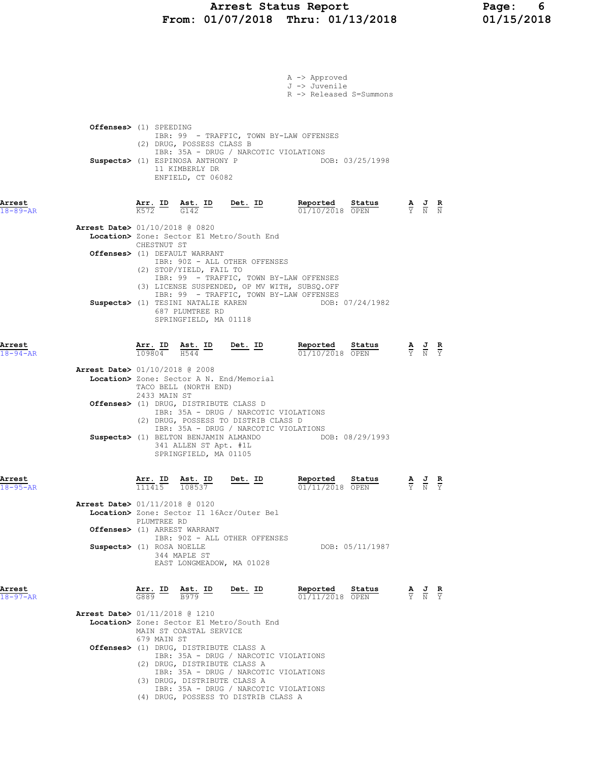# Arrest Status Report 113/2018 Page: 6<br>11/07/2018 Thru: 01/13/2018 01/15/2018 From:  $01/07/2018$  Thru:  $01/13/2018$

|                                                                          |                                       |                                                              |                                                                                                                                                                 | A -> Approved<br>J -> Juvenile<br>R -> Released S=Summons                               |                 |                                                                                                       |  |
|--------------------------------------------------------------------------|---------------------------------------|--------------------------------------------------------------|-----------------------------------------------------------------------------------------------------------------------------------------------------------------|-----------------------------------------------------------------------------------------|-----------------|-------------------------------------------------------------------------------------------------------|--|
| Offenses> (1) SPEEDING                                                   |                                       | (2) DRUG, POSSESS CLASS B                                    |                                                                                                                                                                 | IBR: 99 - TRAFFIC, TOWN BY-LAW OFFENSES                                                 |                 |                                                                                                       |  |
| Suspects> (1) ESPINOSA ANTHONY P                                         |                                       | 11 KIMBERLY DR<br>ENFIELD, CT 06082                          | IBR: 35A - DRUG / NARCOTIC VIOLATIONS                                                                                                                           |                                                                                         | DOB: 03/25/1998 |                                                                                                       |  |
| Arrest<br>$18 - 89 - AR$                                                 |                                       |                                                              | $\frac{\texttt{Arr.}}{\text{K572}}$ ID $\frac{\texttt{Ast.}}{\text{G142}}$ ID Det. ID                                                                           | <b>Reported Status A J R</b> 01/10/2018 OPEN $\frac{1}{Y}$ <b>N N</b>                   |                 |                                                                                                       |  |
| Arrest Date> 01/10/2018 @ 0820                                           | CHESTNUT ST                           |                                                              | Location> Zone: Sector E1 Metro/South End                                                                                                                       |                                                                                         |                 |                                                                                                       |  |
| Offenses> (1) DEFAULT WARRANT                                            |                                       | (2) STOP/YIELD, FAIL TO                                      | IBR: 90Z - ALL OTHER OFFENSES                                                                                                                                   | IBR: 99 - TRAFFIC, TOWN BY-LAW OFFENSES<br>(3) LICENSE SUSPENDED, OP MV WITH, SUBSQ.OFF |                 |                                                                                                       |  |
| Suspects> (1) TESINI NATALIE KAREN                                       |                                       | 687 PLUMTREE RD<br>SPRINGFIELD, MA 01118                     |                                                                                                                                                                 | IBR: 99 - TRAFFIC, TOWN BY-LAW OFFENSES                                                 | DOB: 07/24/1982 |                                                                                                       |  |
| Arrest<br>$18 - 94 - AR$                                                 | $\overline{109804}$ $\overline{H544}$ |                                                              | $\frac{\text{Arr.}}{\text{mer.}}$ ID Ast. ID Det. ID                                                                                                            | Reported Status<br>01/10/2018 OPEN                                                      |                 | $\frac{\mathbf{A}}{\mathbf{Y}}$ $\frac{\mathbf{J}}{\mathbf{N}}$ $\frac{\mathbf{R}}{\mathbf{Y}}$       |  |
| <b>Arrest Date&gt;</b> 01/10/2018 @ 2008                                 | 2433 MAIN ST                          | TACO BELL (NORTH END)                                        | Location> Zone: Sector A N. End/Memorial                                                                                                                        |                                                                                         |                 |                                                                                                       |  |
| Offenses> (1) DRUG, DISTRIBUTE CLASS D                                   |                                       |                                                              | IBR: 35A - DRUG / NARCOTIC VIOLATIONS<br>(2) DRUG, POSSESS TO DISTRIB CLASS D<br>IBR: 35A - DRUG / NARCOTIC VIOLATIONS                                          |                                                                                         |                 |                                                                                                       |  |
| Suspects> (1) BELTON BENJAMIN ALMANDO                                    |                                       | 341 ALLEN ST Apt. #1L<br>SPRINGFIELD, MA 01105               |                                                                                                                                                                 |                                                                                         | DOB: 08/29/1993 |                                                                                                       |  |
| Arrest<br>$18 - 95 - AR$                                                 | 111415                                | Arr. ID Ast. ID<br>108537                                    | Det. ID                                                                                                                                                         | Reported<br>01/11/2018 OPEN                                                             | Status          | AJR<br>Y N Y                                                                                          |  |
| <b>Arrest Date&gt;</b> 01/11/2018 @ 0120<br>Offenses> (1) ARREST WARRANT | PLUMTREE RD                           |                                                              | Location> Zone: Sector I1 16Acr/Outer Bel                                                                                                                       |                                                                                         |                 |                                                                                                       |  |
| Suspects> (1) ROSA NOELLE                                                |                                       | 344 MAPLE ST<br>EAST LONGMEADOW, MA 01028                    | IBR: 90Z - ALL OTHER OFFENSES                                                                                                                                   |                                                                                         | DOB: 05/11/1987 |                                                                                                       |  |
| Arrest<br>$18 - 97 - AR$                                                 | <u>Arr. ID</u><br>$G889$ <sup>-</sup> | $\frac{\text{Ast.}}{\text{B979}}$ ID                         | Det. ID                                                                                                                                                         | Reported<br>01/11/2018 OPEN                                                             | Status          | $\frac{\mathbf{A}}{\overline{Y}}$ $\frac{\mathbf{J}}{\overline{N}}$ $\frac{\mathbf{R}}{\overline{Y}}$ |  |
| Arrest Date> 01/11/2018 @ 1210                                           | 679 MAIN ST                           | MAIN ST COASTAL SERVICE                                      | Location> Zone: Sector E1 Metro/South End                                                                                                                       |                                                                                         |                 |                                                                                                       |  |
| Offenses> (1) DRUG, DISTRIBUTE CLASS A                                   |                                       | (2) DRUG, DISTRIBUTE CLASS A<br>(3) DRUG, DISTRIBUTE CLASS A | IBR: 35A - DRUG / NARCOTIC VIOLATIONS<br>IBR: 35A - DRUG / NARCOTIC VIOLATIONS<br>IBR: 35A - DRUG / NARCOTIC VIOLATIONS<br>(4) DRUG, POSSESS TO DISTRIB CLASS A |                                                                                         |                 |                                                                                                       |  |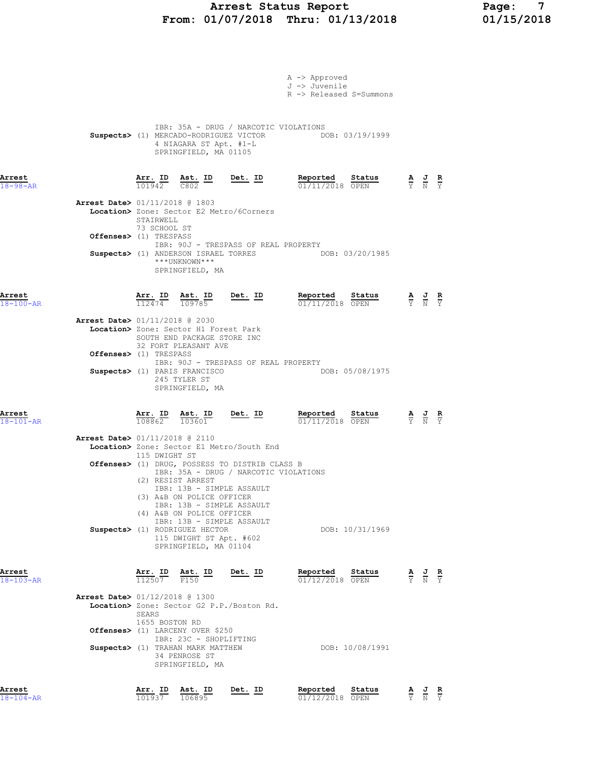# Arrest Status Report 1994 Page: 7<br>01/07/2018 Thru: 01/13/2018 01/15/2018 From:  $01/07/2018$  Thru:  $01/13/2018$

|                                  |                                |                                                                                                                                       |                                                                                         | A -> Approved                                                                                                                         |                                 |                                                                                                 |  |
|----------------------------------|--------------------------------|---------------------------------------------------------------------------------------------------------------------------------------|-----------------------------------------------------------------------------------------|---------------------------------------------------------------------------------------------------------------------------------------|---------------------------------|-------------------------------------------------------------------------------------------------|--|
|                                  |                                |                                                                                                                                       |                                                                                         | J -> Juvenile<br>R -> Released S=Summons                                                                                              |                                 |                                                                                                 |  |
|                                  |                                | 4 NIAGARA ST Apt. #1-L<br>SPRINGFIELD, MA 01105                                                                                       | IBR: 35A - DRUG / NARCOTIC VIOLATIONS                                                   | Suspects> (1) MERCADO-RODRIGUEZ VICTOR DOB: 03/19/1999                                                                                |                                 |                                                                                                 |  |
| Arrest<br>$18 - 98 - AR$         |                                |                                                                                                                                       |                                                                                         | <b>Arr. ID</b> Ast. ID Det. ID Reported Status $\frac{101942}{0802}$ $\frac{100000}{00000}$ $\frac{1000000}{0000}$<br>01/11/2018 OPEN |                                 | $\frac{\mathbf{A}}{\mathbf{Y}}$ $\frac{\mathbf{J}}{\mathbf{N}}$ $\frac{\mathbf{R}}{\mathbf{Y}}$ |  |
| Arrest Date> 01/11/2018 @ 1803   | STAIRWELL                      |                                                                                                                                       | Location> Zone: Sector E2 Metro/6Corners                                                |                                                                                                                                       |                                 |                                                                                                 |  |
| Offenses> (1) TRESPASS           | 73 SCHOOL ST                   |                                                                                                                                       | IBR: 90J - TRESPASS OF REAL PROPERTY                                                    |                                                                                                                                       |                                 |                                                                                                 |  |
|                                  |                                | ***UNKNOWN***<br>SPRINGFIELD, MA                                                                                                      | Suspects> (1) ANDERSON ISRAEL TORRES                                                    | DOB: 03/20/1985                                                                                                                       |                                 |                                                                                                 |  |
| Arrest<br>$18 - 100 - AR$        |                                |                                                                                                                                       | $\frac{\texttt{Arr. ID}}{112474}$ $\frac{\texttt{ Ast. ID}}{109785}$ Det. ID            | Reported Status<br>$01/11/2018$ OPEN                                                                                                  |                                 | $\frac{\mathbf{A}}{\mathbf{Y}}$ $\frac{\mathbf{J}}{\mathbf{N}}$ $\frac{\mathbf{R}}{\mathbf{Y}}$ |  |
| Arrest Date> 01/11/2018 @ 2030   |                                | Location> Zone: Sector H1 Forest Park<br>SOUTH END PACKAGE STORE INC<br>32 FORT PLEASANT AVE                                          |                                                                                         |                                                                                                                                       |                                 |                                                                                                 |  |
| <b>Offenses&gt;</b> (1) TRESPASS |                                |                                                                                                                                       | IBR: 90J - TRESPASS OF REAL PROPERTY                                                    |                                                                                                                                       |                                 |                                                                                                 |  |
|                                  |                                | Suspects> (1) PARIS FRANCISCO<br>245 TYLER ST<br>SPRINGFIELD, MA                                                                      |                                                                                         | DOB: 05/08/1975                                                                                                                       |                                 |                                                                                                 |  |
| Arrest<br>$18 - 101 - AR$        |                                | $\frac{\texttt{Arr.}}{108862}$ $\frac{\texttt{ Ast.}}{103601}$                                                                        | $Det. ID$                                                                               | Reported Status<br>01/11/2018 OPEN                                                                                                    |                                 | $\frac{\mathbf{A}}{\mathbf{Y}}$ $\frac{\mathbf{J}}{\mathbf{N}}$ $\frac{\mathbf{R}}{\mathbf{Y}}$ |  |
| Arrest Date> 01/11/2018 @ 2110   |                                |                                                                                                                                       | Location> Zone: Sector E1 Metro/South End                                               |                                                                                                                                       |                                 |                                                                                                 |  |
|                                  | 115 DWIGHT ST                  |                                                                                                                                       | Offenses> (1) DRUG, POSSESS TO DISTRIB CLASS B<br>IBR: 35A - DRUG / NARCOTIC VIOLATIONS |                                                                                                                                       |                                 |                                                                                                 |  |
|                                  |                                | (2) RESIST ARREST<br>IBR: 13B - SIMPLE ASSAULT<br>(3) A&B ON POLICE OFFICER<br>IBR: 13B - SIMPLE ASSAULT<br>(4) A&B ON POLICE OFFICER |                                                                                         |                                                                                                                                       |                                 |                                                                                                 |  |
|                                  |                                | IBR: 13B - SIMPLE ASSAULT<br>Suspects> (1) RODRIGUEZ HECTOR<br>115 DWIGHT ST Apt. #602<br>SPRINGFIELD, MA 01104                       |                                                                                         | DOB: 10/31/1969                                                                                                                       |                                 |                                                                                                 |  |
| Arrest<br>$18 - 103 - AR$        | Arr. ID<br>112507              | Ast. ID<br>F150                                                                                                                       | Det. ID                                                                                 | Reported<br>Status<br>01/12/2018 OPEN                                                                                                 | $\frac{\mathbf{A}}{\mathbf{Y}}$ | $\frac{J}{N}$ $\frac{R}{Y}$                                                                     |  |
| Arrest Date> 01/12/2018 @ 1300   | <b>SEARS</b><br>1655 BOSTON RD |                                                                                                                                       | Location> Zone: Sector G2 P.P./Boston Rd.                                               |                                                                                                                                       |                                 |                                                                                                 |  |
|                                  |                                | Offenses> (1) LARCENY OVER \$250<br>IBR: 23C - SHOPLIFTING                                                                            |                                                                                         |                                                                                                                                       |                                 |                                                                                                 |  |
|                                  |                                | Suspects> (1) TRAHAN MARK MATTHEW<br>34 PENROSE ST<br>SPRINGFIELD, MA                                                                 |                                                                                         | DOB: 10/08/1991                                                                                                                       |                                 |                                                                                                 |  |
| Arrest<br>$18 - 104 - AR$        | Arr. ID<br>101937              | Ast. ID<br>106895                                                                                                                     | Det. ID                                                                                 | Reported<br>Status<br>01/12/2018 OPEN                                                                                                 | $\frac{\mathbf{A}}{\mathrm{Y}}$ | $\frac{J}{N}$ $\frac{R}{Y}$                                                                     |  |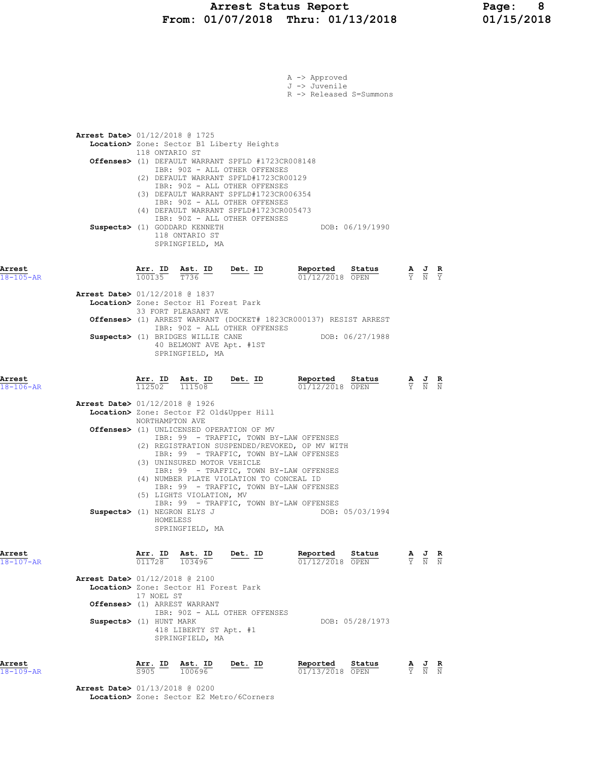|                                                        |                                          |                          |                                                                                                                                                   |                                                                                                                                                                                                                                                                                                                              | A -> Approved<br>J -> Juvenile<br>R -> Released S=Summons         |                 |                                                                                                       |  |
|--------------------------------------------------------|------------------------------------------|--------------------------|---------------------------------------------------------------------------------------------------------------------------------------------------|------------------------------------------------------------------------------------------------------------------------------------------------------------------------------------------------------------------------------------------------------------------------------------------------------------------------------|-------------------------------------------------------------------|-----------------|-------------------------------------------------------------------------------------------------------|--|
|                                                        | <b>Arrest Date&gt;</b> 01/12/2018 @ 1725 | 118 ONTARIO ST           |                                                                                                                                                   | Location> Zone: Sector B1 Liberty Heights<br>Offenses> (1) DEFAULT WARRANT SPFLD #1723CR008148<br>IBR: 90Z - ALL OTHER OFFENSES<br>(2) DEFAULT WARRANT SPFLD#1723CR00129<br>IBR: 90Z - ALL OTHER OFFENSES                                                                                                                    |                                                                   |                 |                                                                                                       |  |
|                                                        |                                          |                          | Suspects> (1) GODDARD KENNETH<br>118 ONTARIO ST<br>SPRINGFIELD, MA                                                                                | (3) DEFAULT WARRANT SPFLD#1723CR006354<br>IBR: 90Z - ALL OTHER OFFENSES<br>(4) DEFAULT WARRANT SPFLD#1723CR005473<br>IBR: 90Z - ALL OTHER OFFENSES                                                                                                                                                                           |                                                                   | DOB: 06/19/1990 |                                                                                                       |  |
| Arrest<br>$18 - 105 - AR$                              |                                          | Arr. ID<br>100135        | $\frac{\texttt{Ast.}}{\texttt{T736}}$ ID                                                                                                          | $Det. ID$                                                                                                                                                                                                                                                                                                                    | Reported<br>$01/12/2018$ OPEN                                     | Status          | $\frac{\mathbf{A}}{\overline{Y}}$ $\frac{\mathbf{J}}{\overline{N}}$ $\frac{\mathbf{R}}{\overline{Y}}$ |  |
|                                                        | <b>Arrest Date&gt; 01/12/2018 @ 1837</b> |                          | Location> Zone: Sector H1 Forest Park<br>33 FORT PLEASANT AVE<br>Suspects> (1) BRIDGES WILLIE CANE<br>40 BELMONT AVE Apt. #1ST<br>SPRINGFIELD, MA | IBR: 90Z - ALL OTHER OFFENSES                                                                                                                                                                                                                                                                                                | Offenses> (1) ARREST WARRANT (DOCKET# 1823CR000137) RESIST ARREST | DOB: 06/27/1988 |                                                                                                       |  |
|                                                        |                                          |                          |                                                                                                                                                   |                                                                                                                                                                                                                                                                                                                              |                                                                   |                 |                                                                                                       |  |
|                                                        |                                          | <u>Arr. ID</u><br>112502 | <u>Ast. ID</u><br>111508                                                                                                                          | <u>Det. ID</u>                                                                                                                                                                                                                                                                                                               | Reported<br>01/12/2018 OPEN                                       | Status          | $\frac{\mathbf{A}}{\mathbf{Y}}$ $\frac{\mathbf{J}}{\mathbf{N}}$ $\frac{\mathbf{R}}{\mathbf{N}}$       |  |
|                                                        | Arrest Date> 01/12/2018 @ 1926           |                          |                                                                                                                                                   | Location> Zone: Sector F2 Old&Upper Hill                                                                                                                                                                                                                                                                                     |                                                                   |                 |                                                                                                       |  |
|                                                        |                                          | NORTHAMPTON AVE          | (3) UNINSURED MOTOR VEHICLE<br>(5) LIGHTS VIOLATION, MV                                                                                           | <b>Offenses&gt;</b> (1) UNLICENSED OPERATION OF MV<br>IBR: 99 - TRAFFIC, TOWN BY-LAW OFFENSES<br>(2) REGISTRATION SUSPENDED/REVOKED, OP MV WITH<br>IBR: 99 - TRAFFIC, TOWN BY-LAW OFFENSES<br>IBR: 99 - TRAFFIC, TOWN BY-LAW OFFENSES<br>(4) NUMBER PLATE VIOLATION TO CONCEAL ID<br>IBR: 99 - TRAFFIC, TOWN BY-LAW OFFENSES |                                                                   |                 |                                                                                                       |  |
|                                                        | Suspects> (1) NEGRON ELYS J              | HOMELESS                 | SPRINGFIELD, MA                                                                                                                                   | IBR: 99 - TRAFFIC, TOWN BY-LAW OFFENSES                                                                                                                                                                                                                                                                                      |                                                                   | DOB: 05/03/1994 |                                                                                                       |  |
|                                                        |                                          |                          | $\frac{\texttt{Arr. ID}}{011728}$ $\frac{\texttt{ Ast. ID}}{103496}$                                                                              | <u>Det. ID</u>                                                                                                                                                                                                                                                                                                               | Reported Status<br>01/12/2018 OPEN                                |                 | $\frac{\mathbf{A}}{\mathbf{Y}}$ $\frac{\mathbf{J}}{\mathbf{N}}$ $\frac{\mathbf{R}}{\mathbf{N}}$       |  |
| Arrest<br>$18 - 106 - AR$<br>Arrest<br>$18 - 107 - AR$ | <b>Arrest Date&gt;</b> 01/12/2018 @ 2100 | 17 NOEL ST               | Location> Zone: Sector H1 Forest Park<br>Offenses> (1) ARREST WARRANT                                                                             |                                                                                                                                                                                                                                                                                                                              |                                                                   |                 |                                                                                                       |  |
|                                                        | Suspects> (1) HUNT MARK                  |                          | 418 LIBERTY ST Apt. #1<br>SPRINGFIELD, MA                                                                                                         | IBR: 90Z - ALL OTHER OFFENSES                                                                                                                                                                                                                                                                                                |                                                                   | DOB: 05/28/1973 |                                                                                                       |  |

 Arrest Date> 01/13/2018 @ 0200 Location> Zone: Sector E2 Metro/6Corners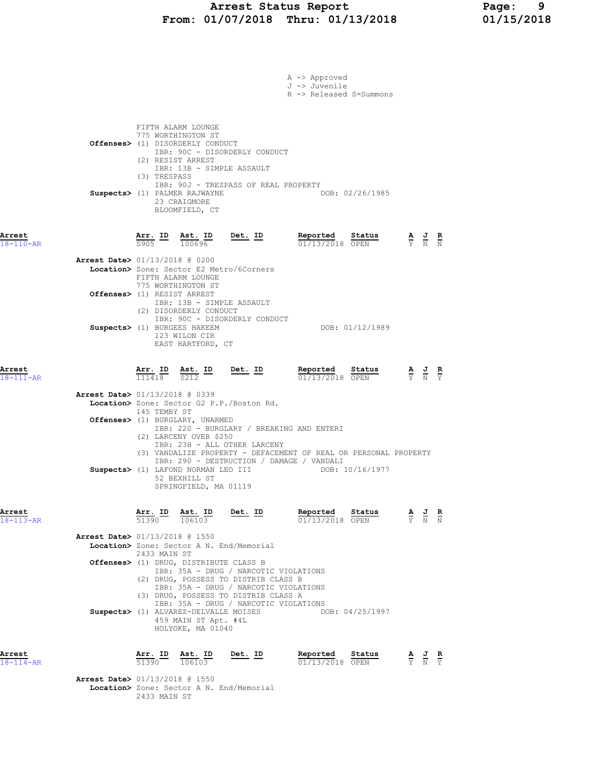|                           |                                                                                                                                                                                                                                                                                                                                                           |                | A -> Approved<br>J -> Juvenile<br>R -> Released S=Summons                           |                                                                                                 |  |
|---------------------------|-----------------------------------------------------------------------------------------------------------------------------------------------------------------------------------------------------------------------------------------------------------------------------------------------------------------------------------------------------------|----------------|-------------------------------------------------------------------------------------|-------------------------------------------------------------------------------------------------|--|
|                           | FIFTH ALARM LOUNGE<br>775 WORTHINGTON ST<br>Offenses> (1) DISORDERLY CONDUCT<br>IBR: 90C - DISORDERLY CONDUCT<br>(2) RESIST ARREST<br>IBR: 13B - SIMPLE ASSAULT<br>(3) TRESPASS<br>IBR: 90J - TRESPASS OF REAL PROPERTY<br>Suspects> (1) PALMER RAJWAYNE<br>23 CRAIGMORE<br>BLOOMFIELD, CT                                                                |                | DOB: 02/26/1985                                                                     |                                                                                                 |  |
| Arrest<br>$18 - 110 - AR$ | $\frac{\texttt{Arr.}}{\texttt{S905}}$ ID $\frac{\texttt{ Ast.}}{100696}$ Det. ID                                                                                                                                                                                                                                                                          |                | <u>Reported</u><br>Status<br>$01/13/2018$ OPEN                                      | $\frac{\mathbf{A}}{\mathbf{Y}}$ $\frac{\mathbf{J}}{\mathbf{N}}$ $\frac{\mathbf{R}}{\mathbf{N}}$ |  |
|                           | Arrest Date> 01/13/2018 @ 0200<br>Location> Zone: Sector E2 Metro/6Corners<br>FIFTH ALARM LOUNGE                                                                                                                                                                                                                                                          |                |                                                                                     |                                                                                                 |  |
|                           | 775 WORTHINGTON ST<br>Offenses> (1) RESIST ARREST<br>IBR: 13B - SIMPLE ASSAULT<br>(2) DISORDERLY CONDUCT                                                                                                                                                                                                                                                  |                |                                                                                     |                                                                                                 |  |
|                           | IBR: 90C - DISORDERLY CONDUCT<br>Suspects> (1) BURGEES HAKEEM<br>123 WILON CIR<br>EAST HARTFORD, CT                                                                                                                                                                                                                                                       |                | DOB: 01/12/1989                                                                     |                                                                                                 |  |
| Arrest<br>$18 - 111 - AR$ | $\frac{\texttt{Arr. ID}}{111418}$ $\frac{\texttt{Ast. ID}}{S212}$ $\frac{\texttt{Det. ID}}{S212}$                                                                                                                                                                                                                                                         |                | Reported Status<br>01/13/2018 OPEN                                                  | $\frac{\mathbf{A}}{\mathbf{Y}}$ $\frac{\mathbf{J}}{\mathbf{N}}$ $\frac{\mathbf{R}}{\mathbf{Y}}$ |  |
|                           | <b>Arrest Date&gt; 01/13/2018 @ 0339</b><br>Location> Zone: Sector G2 P.P./Boston Rd.<br>145 TEMBY ST                                                                                                                                                                                                                                                     |                |                                                                                     |                                                                                                 |  |
|                           | Offenses> (1) BURGLARY, UNARMED<br>IBR: 220 - BURGLARY / BREAKING AND ENTERI<br>(2) LARCENY OVER \$250<br>IBR: 23H - ALL OTHER LARCENY<br>IBR: 290 - DESTRUCTION / DAMAGE / VANDALI<br>Suspects> (1) LAFOND NORMAN LEO III<br>52 BEXHILL ST<br>SPRINGFIELD, MA 01119                                                                                      |                | (3) VANDALIZE PROPERTY - DEFACEMENT OF REAL OR PERSONAL PROPERTY<br>DOB: 10/16/1977 |                                                                                                 |  |
| Arrest<br>$18 - 113 - AR$ | <b>Arr. ID</b><br>51390<br>Ast. ID<br>106103                                                                                                                                                                                                                                                                                                              | <u>Det.</u> ID | Reported<br>Status<br>01/13/2018 OPEN                                               | $\frac{\mathbf{A}}{\mathbf{Y}}$ $\frac{\mathbf{J}}{\mathbf{N}}$ $\frac{\mathbf{R}}{\mathbf{N}}$ |  |
|                           | <b>Arrest Date&gt;</b> 01/13/2018 @ 1550<br>Location> Zone: Sector A N. End/Memorial<br>2433 MAIN ST<br>Offenses> (1) DRUG, DISTRIBUTE CLASS B<br>IBR: 35A - DRUG / NARCOTIC VIOLATIONS<br>(2) DRUG, POSSESS TO DISTRIB CLASS B<br>IBR: 35A - DRUG / NARCOTIC VIOLATIONS<br>(3) DRUG, POSSESS TO DISTRIB CLASS A<br>IBR: 35A - DRUG / NARCOTIC VIOLATIONS |                |                                                                                     |                                                                                                 |  |
|                           | Suspects> (1) ALVAREZ-DELVALLE MOISES<br>459 MAIN ST Apt. #4L<br>HOLYOKE, MA 01040                                                                                                                                                                                                                                                                        |                | DOB: 04/25/1997                                                                     |                                                                                                 |  |
| Arrest<br>$18 - 114 - AR$ | Arr. ID Ast. ID<br>51390<br>106103<br><b>Arrest Date&gt;</b> 01/13/2018 @ 1550                                                                                                                                                                                                                                                                            | $Det. ID$      | Reported<br>Status<br>01/13/2018 OPEN                                               | $\frac{\mathbf{A}}{\mathbf{Y}}$ $\frac{\mathbf{J}}{\mathbf{N}}$ $\frac{\mathbf{R}}{\mathbf{Y}}$ |  |
|                           | Location> Zone: Sector A N. End/Memorial<br>2433 MAIN ST                                                                                                                                                                                                                                                                                                  |                |                                                                                     |                                                                                                 |  |